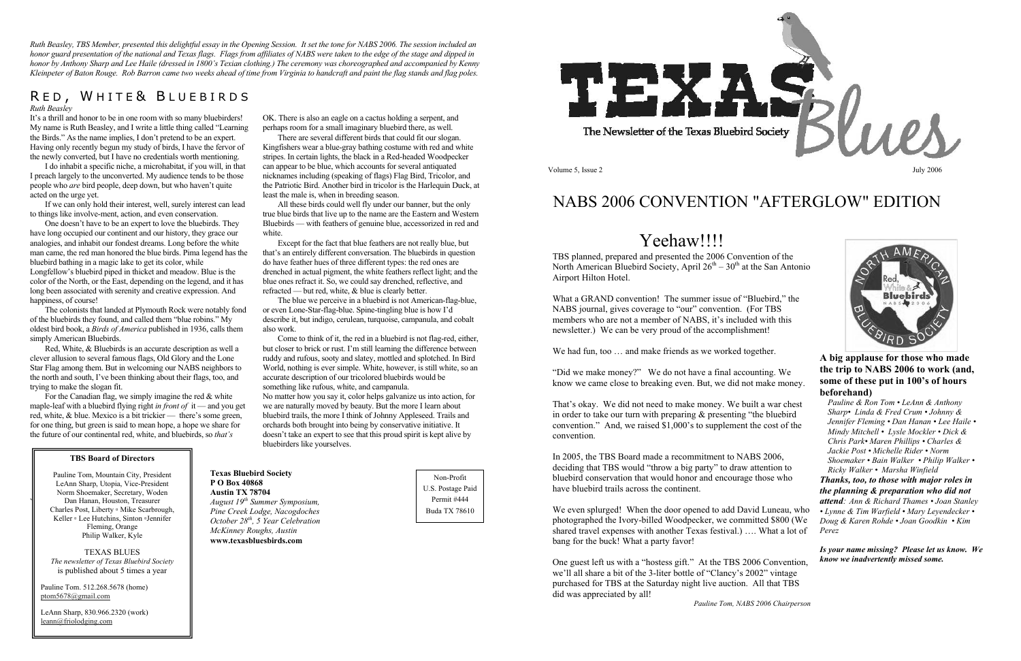*Ruth Beasley, TBS Member, presented this delightful essay in the Opening Session. It set the tone for NABS 2006. The session included an honor guard presentation of the national and Texas flags. Flags from affiliates of NABS were taken to the edge of the stage and dipped in honor by Anthony Sharp and Lee Haile (dressed in 1800's Texian clothing.) The ceremony was choreographed and accompanied by Kenny Kleinpeter of Baton Rouge. Rob Barron came two weeks ahead of time from Virginia to handcraft and paint the flag stands and flag poles.*

### RED, WHITE& BLUEBIRDS

*Ruth Beasley* 

It's a thrill and honor to be in one room with so many bluebirders! My name is Ruth Beasley, and I write a little thing called "Learning the Birds." As the name implies, I don't pretend to be an expert. Having only recently begun my study of birds, I have the fervor of the newly converted, but I have no credentials worth mentioning.

I do inhabit a specific niche, a microhabitat, if you will, in that I preach largely to the unconverted. My audience tends to be those people who *are* bird people, deep down, but who haven't quite acted on the urge yet.

If we can only hold their interest, well, surely interest can lead to things like involve-ment, action, and even conservation.

For the Canadian flag, we simply imagine the red  $&$  white maple-leaf with a bluebird flying right *in front of* it — and you get red, white, & blue. Mexico is a bit trickier — there's some green, for one thing, but green is said to mean hope, a hope we share for the future of our continental red, white, and bluebirds, so *that's* 

One doesn't have to be an expert to love the bluebirds. They have long occupied our continent and our history, they grace our analogies, and inhabit our fondest dreams. Long before the white man came, the red man honored the blue birds. Pima legend has the bluebird bathing in a magic lake to get its color, while Longfellow's bluebird piped in thicket and meadow. Blue is the color of the North, or the East, depending on the legend, and it has long been associated with serenity and creative expression. And happiness, of course!

The colonists that landed at Plymouth Rock were notably fond of the bluebirds they found, and called them "blue robins." My oldest bird book, a *Birds of America* published in 1936, calls them simply American Bluebirds.

Red, White, & Bluebirds is an accurate description as well a clever allusion to several famous flags, Old Glory and the Lone Star Flag among them. But in welcoming our NABS neighbors to the north and south, I've been thinking about their flags, too, and trying to make the slogan fit.

**EXECUTE:** LeAnn Sharp, Utopia, Vice-President **PO Box 40868 Norm Shoemaker, Secretary, Woden Austin TX 78704** Pauline Tom, Mountain City, President Dan Hanan, Houston, Treasurer Charles Post, Liberty ▫ Mike Scarbrough, Keller ▫ Lee Hutchins, Sinton ▫Jennifer Fleming, Orange Philip Walker, Kyle

OK. There is also an eagle on a cactus holding a serpent, and perhaps room for a small imaginary bluebird there, as well.

There are several different birds that could fit our slogan. Kingfishers wear a blue-gray bathing costume with red and white stripes. In certain lights, the black in a Red-headed Woodpecker can appear to be blue, which accounts for several antiquated nicknames including (speaking of flags) Flag Bird, Tricolor, and the Patriotic Bird. Another bird in tricolor is the Harlequin Duck, at least the male is, when in breeding season.

All these birds could well fly under our banner, but the only true blue birds that live up to the name are the Eastern and Western Bluebirds — with feathers of genuine blue, accessorized in red and white.

Except for the fact that blue feathers are not really blue, but that's an entirely different conversation. The bluebirds in question do have feather hues of three different types: the red ones are drenched in actual pigment, the white feathers reflect light; and the blue ones refract it. So, we could say drenched, reflective, and refracted — but red, white, & blue is clearly better.

The blue we perceive in a bluebird is not American-flag-blue, or even Lone-Star-flag-blue. Spine-tingling blue is how I'd describe it, but indigo, cerulean, turquoise, campanula, and cobalt also work.

Come to think of it, the red in a bluebird is not flag-red, either, but closer to brick or rust. I'm still learning the difference between ruddy and rufous, sooty and slatey, mottled and splotched. In Bird World, nothing is ever simple. White, however, is still white, so an accurate description of our tricolored bluebirds would be something like rufous, white, and campanula.

No matter how you say it, color helps galvanize us into action, for we are naturally moved by beauty. But the more I learn about bluebird trails, the more I think of Johnny Appleseed. Trails and orchards both brought into being by conservative initiative. It doesn't take an expert to see that this proud spirit is kept alive by bluebirders like yourselves.

**Texas Bluebird Society `** *August 19th Summer Symposium, Pine Creek Lodge, Nacogdoches October 28th, 5 Year Celebration McKinney Roughs, Austin*   **www.texasbluesbirds.com** 

#### **TBS Board of Directors**

TEXAS BLUES *The newsletter of Texas Bluebird Society*  is published about 5 times a year

Pauline Tom. 512.268.5678 (home) ptom5678@gmail.com

LeAnn Sharp, 830.966.2320 (work) leann@friolodging.com

Non-Profit U.S. Postage Paid Permit #444 Buda TX 78610



Volume 5, Issue 2

# NABS 2006 CONVENTION "AFTERGLOW" EDITION

## Yeehaw!!!!

TBS planned, prepared and presented the 2006 Convention of the North American Bluebird Society, April  $26<sup>th</sup> - 30<sup>th</sup>$  at the San Antonio Airport Hilton Hotel.

What a GRAND convention! The summer issue of "Bluebird," the NABS journal, gives coverage to "our" convention. (For TBS members who are not a member of NABS, it's included with this newsletter.) We can be very proud of the accomplishment!

We had fun, too ... and make friends as we worked together.

"Did we make money?" We do not have a final accounting. We know we came close to breaking even. But, we did not make money.

That's okay. We did not need to make money. We built a war chest in order to take our turn with preparing  $\&$  presenting "the bluebird" convention." And, we raised \$1,000's to supplement the cost of the convention.

In 2005, the TBS Board made a recommitment to NABS 2006, deciding that TBS would "throw a big party" to draw attention to bluebird conservation that would honor and encourage those who have bluebird trails across the continent.

We even splurged! When the door opened to add David Luneau, who photographed the Ivory-billed Woodpecker, we committed \$800 (We shared travel expenses with another Texas festival.) …. What a lot of bang for the buck! What a party favor!

One guest left us with a "hostess gift." At the TBS 2006 Convention, we'll all share a bit of the 3-liter bottle of "Clancy's 2002" vintage purchased for TBS at the Saturday night live auction. All that TBS did was appreciated by all!

*Pauline Tom, NABS 2006 Chairperson* 



#### **A big applause for those who made the trip to NABS 2006 to work (and, some of these put in 100's of hours beforehand)** *Pauline & Ron Tom • LeAnn & Anthony*

*Sharp• Linda & Fred Crum • Johnny & Jennifer Fleming • Dan Hanan • Lee Haile • Mindy Mitchell • Lysle Mockler • Dick & Chris Park• Maren Phillips • Charles & Jackie Post • Michelle Rider • Norm Shoemaker • Bain Walker • Philip Walker • Ricky Walker • Marsha Winfield Thanks, too, to those with major roles in the planning & preparation who did not attend: Ann & Richard Thames • Joan Stanley • Lynne & Tim Warfield • Mary Leyendecker • Doug & Karen Rohde • Joan Goodkin • Kim Perez* 

*Is your name missing? Please let us know. We know we inadvertently missed some.*